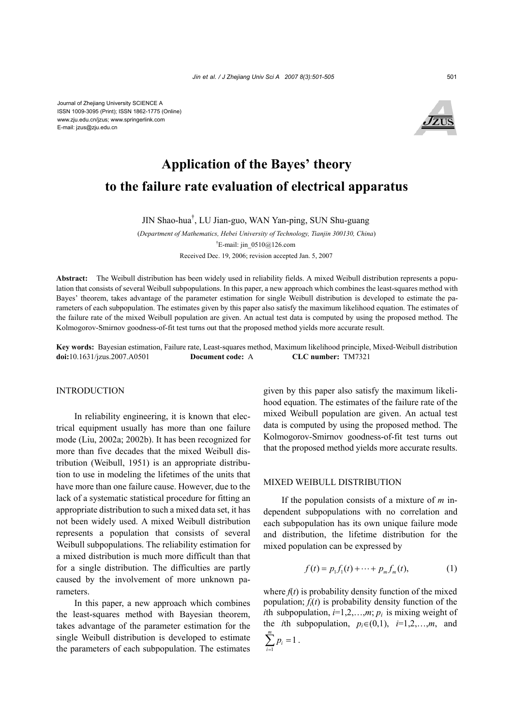Journal of Zhejiang University SCIENCE A ISSN 1009-3095 (Print); ISSN 1862-1775 (Online) www.zju.edu.cn/jzus; www.springerlink.com E-mail: jzus@zju.edu.cn



# **Application of the Bayes' theory to the failure rate evaluation of electrical apparatus**

JIN Shao-hua† , LU Jian-guo, WAN Yan-ping, SUN Shu-guang

(*Department of Mathematics, Hebei University of Technology, Tianjin 300130, China*) † E-mail: jin\_0510@126.com Received Dec. 19, 2006; revision accepted Jan. 5, 2007

**Abstract:** The Weibull distribution has been widely used in reliability fields. A mixed Weibull distribution represents a population that consists of several Weibull subpopulations. In this paper, a new approach which combines the least-squares method with Bayes' theorem, takes advantage of the parameter estimation for single Weibull distribution is developed to estimate the parameters of each subpopulation. The estimates given by this paper also satisfy the maximum likelihood equation. The estimates of the failure rate of the mixed Weibull population are given. An actual test data is computed by using the proposed method. The Kolmogorov-Smirnov goodness-of-fit test turns out that the proposed method yields more accurate result.

**Key words:** Bayesian estimation, Failure rate, Least-squares method, Maximum likelihood principle, Mixed-Weibull distribution **doi:**10.1631/jzus.2007.A0501 **Document code:** A **CLC number:** TM7321

## INTRODUCTION

In reliability engineering, it is known that electrical equipment usually has more than one failure mode (Liu, 2002a; 2002b). It has been recognized for more than five decades that the mixed Weibull distribution (Weibull, 1951) is an appropriate distribution to use in modeling the lifetimes of the units that have more than one failure cause. However, due to the lack of a systematic statistical procedure for fitting an appropriate distribution to such a mixed data set, it has not been widely used. A mixed Weibull distribution represents a population that consists of several Weibull subpopulations. The reliability estimation for a mixed distribution is much more difficult than that for a single distribution. The difficulties are partly caused by the involvement of more unknown parameters.

In this paper, a new approach which combines the least-squares method with Bayesian theorem, takes advantage of the parameter estimation for the single Weibull distribution is developed to estimate the parameters of each subpopulation. The estimates given by this paper also satisfy the maximum likelihood equation. The estimates of the failure rate of the mixed Weibull population are given. An actual test data is computed by using the proposed method. The Kolmogorov-Smirnov goodness-of-fit test turns out that the proposed method yields more accurate results.

#### MIXED WEIBULL DISTRIBUTION

If the population consists of a mixture of *m* independent subpopulations with no correlation and each subpopulation has its own unique failure mode and distribution, the lifetime distribution for the mixed population can be expressed by

$$
f(t) = p_1 f_1(t) + \dots + p_m f_m(t), \tag{1}
$$

where  $f(t)$  is probability density function of the mixed population;  $f_i(t)$  is probability density function of the *i*th subpopulation,  $i=1,2,...,m; p_i$  is mixing weight of the *i*th subpopulation,  $p_i \in (0,1)$ ,  $i=1,2,...,m$ , and  $\sum_{i=1}$  $\sum_{i=1}^{m} p_i = 1$  $\sum_{i=1} P_i$ *p*  $\sum_{i=1} P_i = 1$ .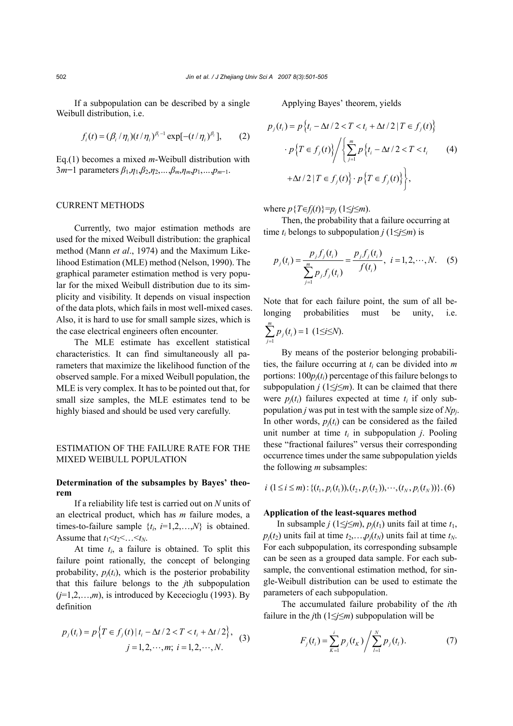If a subpopulation can be described by a single Weibull distribution, i.e.

$$
f_i(t) = (\beta_i / \eta_i)(t / \eta_i)^{\beta_i - 1} \exp[-(t / \eta_i)^{\beta_i}], \qquad (2)
$$

Eq.(1) becomes a mixed *m*-Weibull distribution with 3*m***−**1 parameters *β*1,*η*1,*β*2,*η*2,*…*,*βm*,*ηm*,*p*1,*…*,*pm***−**1.

#### CURRENT METHODS

Currently, two major estimation methods are used for the mixed Weibull distribution: the graphical method (Mann *et al*., 1974) and the Maximum Likelihood Estimation (MLE) method (Nelson, 1990). The graphical parameter estimation method is very popular for the mixed Weibull distribution due to its simplicity and visibility. It depends on visual inspection of the data plots, which fails in most well-mixed cases. Also, it is hard to use for small sample sizes, which is the case electrical engineers often encounter.

The MLE estimate has excellent statistical characteristics. It can find simultaneously all parameters that maximize the likelihood function of the observed sample. For a mixed Weibull population, the MLE is very complex. It has to be pointed out that, for small size samples, the MLE estimates tend to be highly biased and should be used very carefully.

## ESTIMATION OF THE FAILURE RATE FOR THE MIXED WEIBULL POPULATION

## **Determination of the subsamples by Bayes' theorem**

If a reliability life test is carried out on *N* units of an electrical product, which has *m* failure modes, a times-to-failure sample  $\{t_i, i=1,2,...,N\}$  is obtained. Assume that  $t_1 < t_2 < \ldots < t_N$ .

At time *ti*, a failure is obtained. To split this failure point rationally, the concept of belonging probability,  $p_i(t_i)$ , which is the posterior probability that this failure belongs to the *j*th subpopulation  $(j=1,2,\ldots,m)$ , is introduced by Kececioglu (1993). By definition

$$
p_j(t_i) = p\left\{T \in f_j(t) | t_i - \Delta t / 2 < T < t_i + \Delta t / 2\right\}, \quad (3)
$$
\n
$$
j = 1, 2, \cdots, m; \ i = 1, 2, \cdots, N.
$$

Applying Bayes' theorem, yields

$$
p_j(t_i) = p\{t_i - \Delta t / 2 < T < t_i + \Delta t / 2 | T \in f_j(t)\}
$$
  
\n
$$
\cdot p\{T \in f_j(t)\} / \left\{ \sum_{j=1}^m p\{t_i - \Delta t / 2 < T < t_i \} (4) + \Delta t / 2 | T \in f_j(t)\} \cdot p\{T \in f_j(t)\} \right\},
$$

where  $p\{T \in f_i(t)\} = p_i (1 \leq j \leq m)$ .

Then, the probability that a failure occurring at time  $t_i$  belongs to subpopulation  $i$  (1 ≤*j* ≤*m*) is

$$
p_j(t_i) = \frac{p_j f_j(t_i)}{\sum_{j=1}^m p_j f_j(t_i)} = \frac{p_j f_j(t_i)}{f(t_i)}, \ i = 1, 2, \cdots, N. \quad (5)
$$

Note that for each failure point, the sum of all belonging probabilities must be unity, i.e.

$$
\sum_{j=1}^{m} p_j(t_i) = 1 \ (1 \leq i \leq N).
$$

By means of the posterior belonging probabilities, the failure occurring at *ti* can be divided into *m* portions:  $100p_i(t_i)$  percentage of this failure belongs to subpopulation *j* ( $1 \le j \le m$ ). It can be claimed that there were  $p_i(t_i)$  failures expected at time  $t_i$  if only subpopulation *j* was put in test with the sample size of *Npj*. In other words,  $p_i(t_i)$  can be considered as the failed unit number at time  $t_i$  in subpopulation  $j$ . Pooling these "fractional failures" versus their corresponding occurrence times under the same subpopulation yields the following *m* subsamples:

 $i$   $(1 \le i \le m)$  :  $\{(t_1, p_i(t_1)), (t_2, p_i(t_2)), \cdots, (t_N, p_i(t_N))\}$ . (6)

## **Application of the least-squares method**

In subsample *j* (1≤*j*≤*m*),  $p_i(t_1)$  units fail at time  $t_1$ ,  $p_j(t_2)$  units fail at time  $t_2, \ldots, p_j(t_N)$  units fail at time  $t_N$ . For each subpopulation, its corresponding subsample can be seen as a grouped data sample. For each subsample, the conventional estimation method, for single-Weibull distribution can be used to estimate the parameters of each subpopulation.

The accumulated failure probability of the *i*th failure in the *j*th  $(1 \leq j \leq m)$  subpopulation will be

$$
F_j(t_i) = \sum_{K=1}^i p_j(t_K) / \sum_{l=1}^N p_j(t_l).
$$
 (7)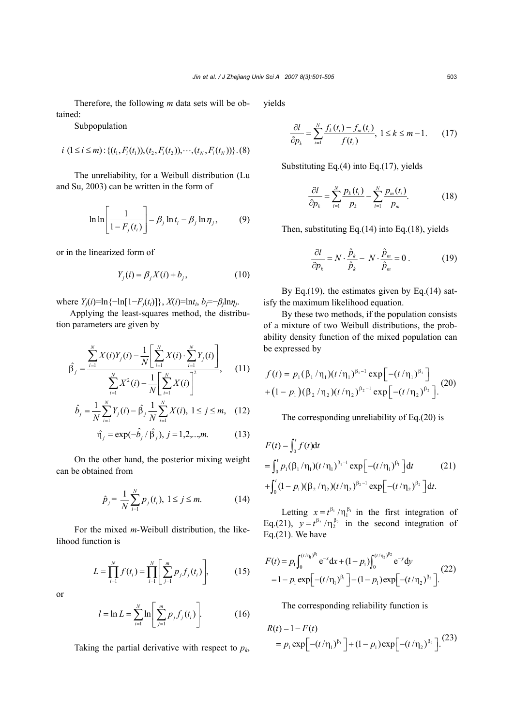Therefore, the following *m* data sets will be obtained:

Subpopulation

$$
i\ (1 \le i \le m) \cdot \{(t_1, F_i(t_1)), (t_2, F_i(t_2)), \cdots, (t_N, F_i(t_N))\}.\tag{8}
$$

The unreliability, for a Weibull distribution (Lu and Su, 2003) can be written in the form of

$$
\ln \ln \left[ \frac{1}{1 - F_j(t_i)} \right] = \beta_j \ln t_i - \beta_j \ln \eta_j, \tag{9}
$$

or in the linearized form of

$$
Y_j(i) = \beta_j X(i) + b_j, \qquad (10)
$$

where *Y<sub>j</sub>*(*i*)=ln{-ln[1−*F<sub>j</sub>*(*t<sub>i</sub>*)]}, *X*(*i*)=ln*t<sub>i</sub>*, *b<sub>i</sub>*=−*β*<sub>*j*</sub>ln*η*<sub>*j*</sub>.

Applying the least-squares method, the distribution parameters are given by

$$
\hat{\beta}_j = \frac{\sum_{i=1}^N X(i)Y_j(i) - \frac{1}{N} \left[ \sum_{i=1}^N X(i) \cdot \sum_{i=1}^N Y_j(i) \right]}{\sum_{i=1}^N X^2(i) - \frac{1}{N} \left[ \sum_{i=1}^N X(i) \right]^2}, \quad (11)
$$

$$
\hat{b}_j = \frac{1}{N} \sum_{i=1}^{N} Y_j(i) - \hat{\beta}_j \frac{1}{N} \sum_{i=1}^{N} X(i), \ 1 \le j \le m, \quad (12)
$$

$$
\hat{\eta}_j = \exp(-\hat{b}_j / \hat{\beta}_j), j = 1, 2, ..., m.
$$
 (13)

On the other hand, the posterior mixing weight can be obtained from

$$
\hat{p}_j = \frac{1}{N} \sum_{i=1}^{N} p_j(t_i), \ 1 \le j \le m. \tag{14}
$$

For the mixed *m*-Weibull distribution, the likelihood function is

$$
L = \prod_{i=1}^{N} f(t_i) = \prod_{i=1}^{N} \left[ \sum_{j=1}^{m} p_j f_j(t_i) \right],
$$
 (15)

or

$$
l = \ln L = \sum_{i=1}^{N} \ln \left[ \sum_{j=1}^{m} p_j f_j(t_i) \right].
$$
 (16)

Taking the partial derivative with respect to  $p_k$ ,

yields

$$
\frac{\partial l}{\partial p_k} = \sum_{i=1}^{N} \frac{f_k(t_i) - f_m(t_i)}{f(t_i)}, \ 1 \le k \le m - 1. \tag{17}
$$

Substituting Eq.(4) into Eq.(17), yields

$$
\frac{\partial l}{\partial p_k} = \sum_{i=1}^{N} \frac{p_k(t_i)}{p_k} - \sum_{i=1}^{N} \frac{p_m(t_i)}{p_m}.
$$
 (18)

Then, substituting Eq.(14) into Eq.(18), yields

$$
\frac{\partial l}{\partial p_k} = N \cdot \frac{\hat{p}_k}{\hat{p}_k} - N \cdot \frac{\hat{p}_m}{\hat{p}_m} = 0 \ . \tag{19}
$$

By Eq.(19), the estimates given by Eq.(14) satisfy the maximum likelihood equation.

By these two methods, if the population consists of a mixture of two Weibull distributions, the probability density function of the mixed population can be expressed by

$$
f(t) = p_1(\beta_1/\eta_1)(t/\eta_1)^{\beta_1-1} \exp\left[-(t/\eta_1)^{\beta_1}\right] + (1-p_1)(\beta_2/\eta_2)(t/\eta_2)^{\beta_2-1} \exp\left[-(t/\eta_2)^{\beta_2}\right].
$$
 (20)

The corresponding unreliability of Eq.(20) is

$$
F(t) = \int_0^t f(t)dt
$$
  
=  $\int_0^t p_1(\beta_1/\eta_1)(t/\eta_1)^{\beta_1-1} \exp[-(t/\eta_1)^{\beta_1}]dt$  (21)  
+ $\int_0^t (1-p_1)(\beta_2/\eta_2)(t/\eta_2)^{\beta_2-1} \exp[-(t/\eta_2)^{\beta_2}]dt.$ 

Letting  $x = t^{\beta_1}/\eta_1^{\beta_1}$  in the first integration of Eq.(21),  $y = t^{\beta_2} / \eta_2^{\beta_2}$  in the second integration of Eq.(21). We have

$$
F(t) = p_1 \int_0^{(t/\eta_1)^{\beta_1}} e^{-x} dx + (1 - p_1) \int_0^{(t/\eta_2)^{\beta_2}} e^{-y} dy
$$
  
= 1 - p\_1 \exp[-(t/\eta\_1)^{\beta\_1}] - (1 - p\_1) \exp[-(t/\eta\_2)^{\beta\_2}]. (22)

The corresponding reliability function is

$$
R(t) = 1 - F(t)
$$
  
=  $p_1 \exp[-(t/\eta_1)^{\beta_1}] + (1 - p_1) \exp[-(t/\eta_2)^{\beta_2}].$  (23)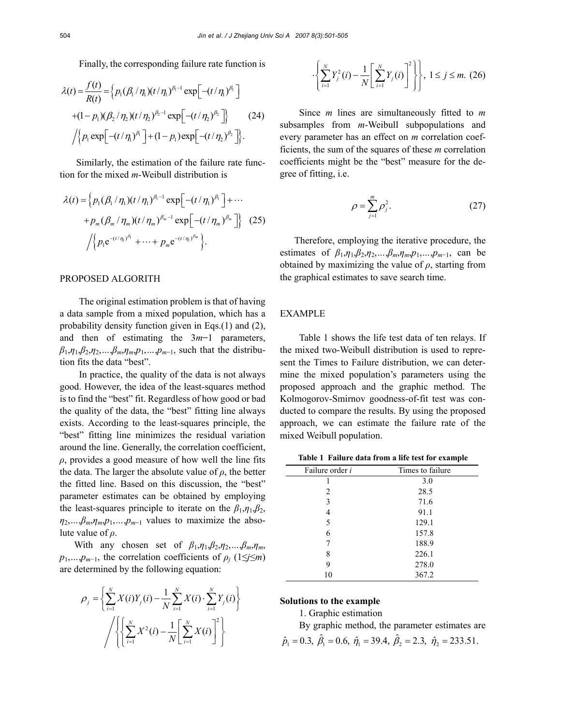Finally, the corresponding failure rate function is

$$
\lambda(t) = \frac{f(t)}{R(t)} = \left\{ p_1(\beta_1/\eta_1)(t/\eta_1)^{\beta_1 - 1} \exp\left[ -(t/\eta_1)^{\beta_1} \right] + (1 - p_1)(\beta_2/\eta_2)(t/\eta_2)^{\beta_2 - 1} \exp\left[ -(t/\eta_2)^{\beta_2} \right] \right\}
$$
(24)  

$$
\left\{ p_1 \exp\left[ -(t/\eta_1)^{\beta_1} \right] + (1 - p_1) \exp\left[ -(t/\eta_2)^{\beta_2} \right] \right\}.
$$

Similarly, the estimation of the failure rate function for the mixed *m*-Weibull distribution is

$$
\lambda(t) = \left\{ p_1(\beta_1/\eta_1)(t/\eta_1)^{\beta_1 - 1} \exp\left[ -(t/\eta_1)^{\beta_1} \right] + \cdots \right. \left. + p_m(\beta_m/\eta_m)(t/\eta_m)^{\beta_m - 1} \exp\left[ -(t/\eta_m)^{\beta_m} \right] \right\} (25) \left/ \left\{ p_1 e^{-(t/\eta_1)^{\beta_1}} + \cdots + p_m e^{-(t/\eta_1)^{\beta_m}} \right\}.
$$

#### PROPOSED ALGORITH

The original estimation problem is that of having a data sample from a mixed population, which has a probability density function given in Eqs.(1) and (2), and then of estimating the 3*m***−**1 parameters,  $\beta_1$ , $\eta_1$ , $\beta_2$ , $\eta_2$ ,*…*, $\beta_m$ , $\eta_m$ , $p_1$ ,*…*, $p_{m-1}$ , such that the distribution fits the data "best".

In practice, the quality of the data is not always good. However, the idea of the least-squares method is to find the "best" fit. Regardless of how good or bad the quality of the data, the "best" fitting line always exists. According to the least-squares principle, the "best" fitting line minimizes the residual variation around the line. Generally, the correlation coefficient, *ρ*, provides a good measure of how well the line fits the data. The larger the absolute value of  $\rho$ , the better the fitted line. Based on this discussion, the "best" parameter estimates can be obtained by employing the least-squares principle to iterate on the  $\beta_1$ , $\eta_1$ , $\beta_2$ ,  $\eta_2, \ldots, \beta_m, \eta_m, p_1, \ldots, p_{m-1}$  values to maximize the absolute value of *ρ*.

With any chosen set of  $\beta_1$ ,  $\eta_1$ ,  $\beta_2$ ,  $\eta_2$ , ...,  $\beta_m$ ,  $\eta_m$ ,  $p_1, \ldots, p_{m-1}$ , the correlation coefficients of  $\rho_j$  (1≤*j*≤*m*) are determined by the following equation:

$$
\rho_j = \left\{ \sum_{i=1}^N X(i)Y_j(i) - \frac{1}{N} \sum_{i=1}^N X(i) \cdot \sum_{i=1}^N Y_j(i) \right\}
$$

$$
\sqrt{\left\{ \left\{ \sum_{i=1}^N X^2(i) - \frac{1}{N} \left[ \sum_{i=1}^N X(i) \right]^2 \right\}} \right\}
$$

$$
\left\{\sum_{i=1}^{N} Y_j^2(i) - \frac{1}{N} \left[ \sum_{i=1}^{N} Y_j(i) \right]^2 \right\}, \ 1 \le j \le m. \ (26)
$$

Since *m* lines are simultaneously fitted to *m* subsamples from *m*-Weibull subpopulations and every parameter has an effect on *m* correlation coefficients, the sum of the squares of these *m* correlation coefficients might be the "best" measure for the degree of fitting, i.e.

$$
\rho = \sum_{j=1}^{m} \rho_j^2. \tag{27}
$$

Therefore, employing the iterative procedure, the estimates of  $\beta_1, \eta_1, \beta_2, \eta_2, \dots, \beta_m, \eta_m, p_1, \dots, p_{m-1}$ , can be obtained by maximizing the value of  $\rho$ , starting from the graphical estimates to save search time.

#### EXAMPLE

Table 1 shows the life test data of ten relays. If the mixed two-Weibull distribution is used to represent the Times to Failure distribution, we can determine the mixed population's parameters using the proposed approach and the graphic method. The Kolmogorov-Smirnov goodness-of-fit test was conducted to compare the results. By using the proposed approach, we can estimate the failure rate of the mixed Weibull population.

| Failure order i | Times to failure |
|-----------------|------------------|
|                 | 3.0              |
| 2               | 28.5             |
| 3               | 71.6             |
| 4               | 91.1             |
| 5               | 129.1            |
| 6               | 157.8            |
| 7               | 188.9            |
| 8               | 226.1            |
| 9               | 278.0            |
| 10              | 367.2            |

#### **Solutions to the example**

1. Graphic estimation

By graphic method, the parameter estimates are

$$
\hat{p}_1 = 0.3, \ \hat{\beta}_1 = 0.6, \ \hat{\eta}_1 = 39.4, \ \hat{\beta}_2 = 2.3, \ \hat{\eta}_2 = 233.51.
$$